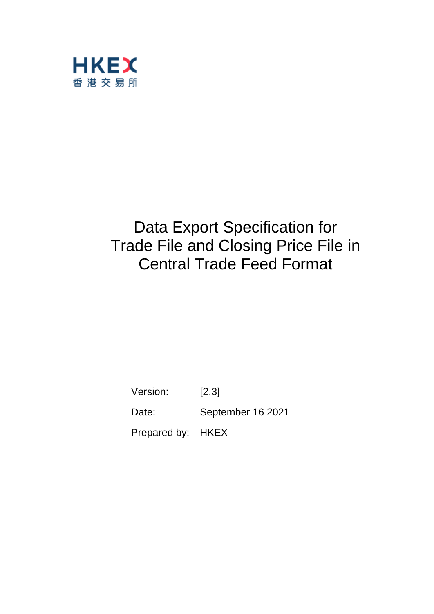

# Data Export Specification for Trade File and Closing Price File in Central Trade Feed Format

Version: [2.3] Date: September 16 2021 Prepared by: HKEX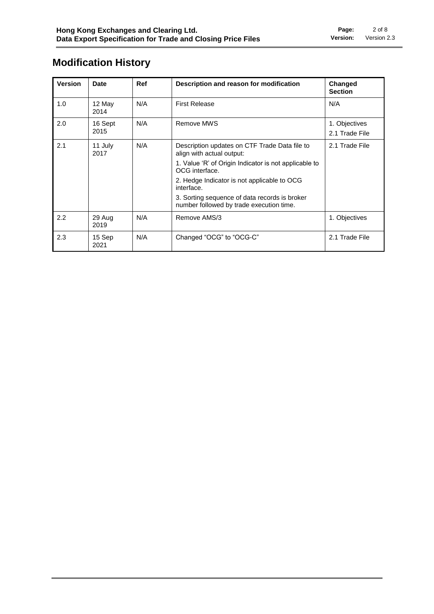# **Modification History**

| <b>Version</b> | <b>Date</b>     | Ref | Description and reason for modification                                                   | Changed<br><b>Section</b>       |
|----------------|-----------------|-----|-------------------------------------------------------------------------------------------|---------------------------------|
| 1.0            | 12 May<br>2014  | N/A | <b>First Release</b>                                                                      | N/A                             |
| 2.0            | 16 Sept<br>2015 | N/A | Remove MWS                                                                                | 1. Objectives<br>2.1 Trade File |
| 2.1            | 11 July<br>2017 | N/A | Description updates on CTF Trade Data file to<br>align with actual output:                | 2.1 Trade File                  |
|                |                 |     | 1. Value 'R' of Origin Indicator is not applicable to<br>OCG interface.                   |                                 |
|                |                 |     | 2. Hedge Indicator is not applicable to OCG<br>interface.                                 |                                 |
|                |                 |     | 3. Sorting sequence of data records is broker<br>number followed by trade execution time. |                                 |
| 2.2            | 29 Aug<br>2019  | N/A | Remove AMS/3                                                                              | 1. Objectives                   |
| 2.3            | 15 Sep<br>2021  | N/A | Changed "OCG" to "OCG-C"                                                                  | 2.1 Trade File                  |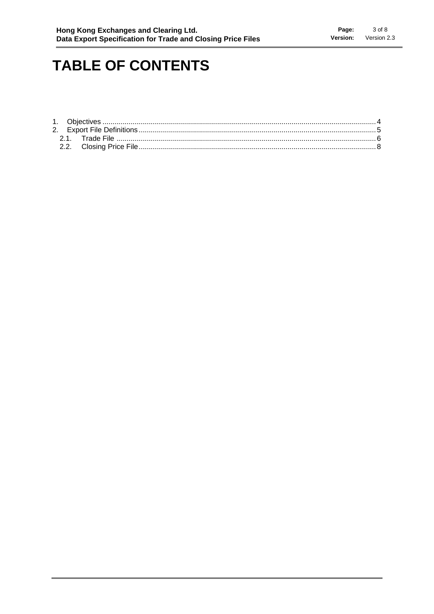# **TABLE OF CONTENTS**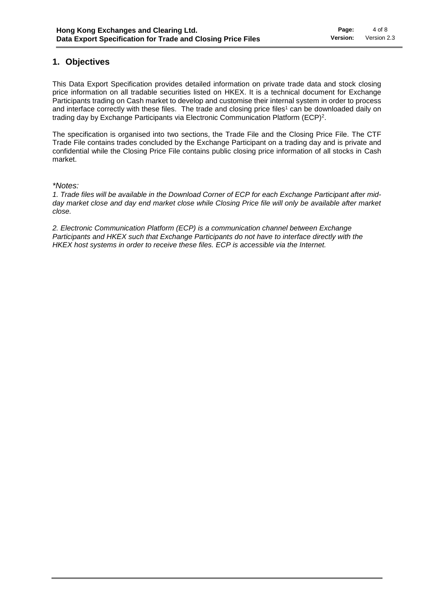# **1. Objectives**

This Data Export Specification provides detailed information on private trade data and stock closing price information on all tradable securities listed on HKEX. It is a technical document for Exchange Participants trading on Cash market to develop and customise their internal system in order to process and interface correctly with these files. The trade and closing price files<sup>1</sup> can be downloaded daily on trading day by Exchange Participants via Electronic Communication Platform (ECP)<sup>2</sup>.

The specification is organised into two sections, the Trade File and the Closing Price File. The CTF Trade File contains trades concluded by the Exchange Participant on a trading day and is private and confidential while the Closing Price File contains public closing price information of all stocks in Cash market.

*\*Notes:* 

*1. Trade files will be available in the Download Corner of ECP for each Exchange Participant after midday market close and day end market close while Closing Price file will only be available after market close.*

*2. Electronic Communication Platform (ECP) is a communication channel between Exchange Participants and HKEX such that Exchange Participants do not have to interface directly with the HKEX host systems in order to receive these files. ECP is accessible via the Internet.*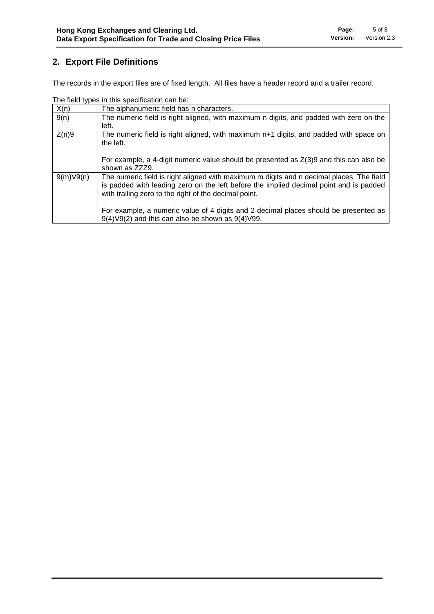# **2. Export File Definitions**

The records in the export files are of fixed length. All files have a header record and a trailer record.

|           | <u>HIGHG LYDGO III LIIIO ODGOINOQLIOH OQH DO.</u>                                                                                                                                                                                           |
|-----------|---------------------------------------------------------------------------------------------------------------------------------------------------------------------------------------------------------------------------------------------|
| X(n)      | The alphanumeric field has n characters.                                                                                                                                                                                                    |
| 9(n)      | The numeric field is right aligned, with maximum n digits, and padded with zero on the<br>left.                                                                                                                                             |
| Z(n)9     | The numeric field is right aligned, with maximum n+1 digits, and padded with space on<br>the left.                                                                                                                                          |
|           | For example, a 4-digit numeric value should be presented as $Z(3)9$ and this can also be<br>shown as ZZZ9.                                                                                                                                  |
| 9(m)V9(n) | The numeric field is right aligned with maximum m digits and n decimal places. The field<br>is padded with leading zero on the left before the implied decimal point and is padded<br>with trailing zero to the right of the decimal point. |
|           | For example, a numeric value of 4 digits and 2 decimal places should be presented as<br>$9(4) \vee 9(2)$ and this can also be shown as $9(4) \vee 99$ .                                                                                     |

The field types in this specification can be: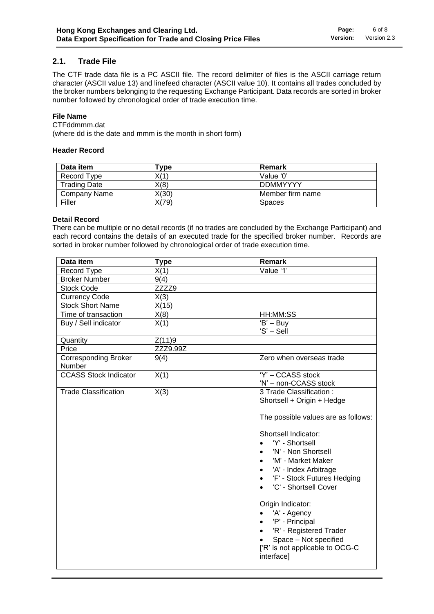### **2.1. Trade File**

The CTF trade data file is a PC ASCII file. The record delimiter of files is the ASCII carriage return character (ASCII value 13) and linefeed character (ASCII value 10). It contains all trades concluded by the broker numbers belonging to the requesting Exchange Participant. Data records are sorted in broker number followed by chronological order of trade execution time.

#### **File Name**

CTFddmmm.dat

(where dd is the date and mmm is the month in short form)

#### **Header Record**

| Data item           | Type  | Remark           |
|---------------------|-------|------------------|
| Record Type         | X(1)  | Value '0'        |
| <b>Trading Date</b> | X(8)  | <b>DDMMYYYY</b>  |
| Company Name        | X(30) | Member firm name |
| Filler              | X(79) | <b>Spaces</b>    |

#### **Detail Record**

There can be multiple or no detail records (if no trades are concluded by the Exchange Participant) and each record contains the details of an executed trade for the specified broker number. Records are sorted in broker number followed by chronological order of trade execution time.

| Data item                             | <b>Type</b> | Remark                                                                                                                                                                                                                                                                                                                                                                                                                                                                                                            |
|---------------------------------------|-------------|-------------------------------------------------------------------------------------------------------------------------------------------------------------------------------------------------------------------------------------------------------------------------------------------------------------------------------------------------------------------------------------------------------------------------------------------------------------------------------------------------------------------|
| Record Type                           | X(1)        | Value '1'                                                                                                                                                                                                                                                                                                                                                                                                                                                                                                         |
| <b>Broker Number</b>                  | 9(4)        |                                                                                                                                                                                                                                                                                                                                                                                                                                                                                                                   |
| <b>Stock Code</b>                     | ZZZZ9       |                                                                                                                                                                                                                                                                                                                                                                                                                                                                                                                   |
| <b>Currency Code</b>                  | X(3)        |                                                                                                                                                                                                                                                                                                                                                                                                                                                                                                                   |
| <b>Stock Short Name</b>               | X(15)       |                                                                                                                                                                                                                                                                                                                                                                                                                                                                                                                   |
| Time of transaction                   | X(8)        | HH:MM:SS                                                                                                                                                                                                                                                                                                                                                                                                                                                                                                          |
| Buy / Sell indicator                  | X(1)        | $'B' - BuV$<br>'S' – Sell                                                                                                                                                                                                                                                                                                                                                                                                                                                                                         |
| Quantity                              | Z(11)9      |                                                                                                                                                                                                                                                                                                                                                                                                                                                                                                                   |
| Price                                 | ZZZ9.99Z    |                                                                                                                                                                                                                                                                                                                                                                                                                                                                                                                   |
| <b>Corresponding Broker</b><br>Number | 9(4)        | Zero when overseas trade                                                                                                                                                                                                                                                                                                                                                                                                                                                                                          |
| <b>CCASS Stock Indicator</b>          | X(1)        | 'Y' - CCASS stock<br>'N' - non-CCASS stock                                                                                                                                                                                                                                                                                                                                                                                                                                                                        |
| <b>Trade Classification</b>           | X(3)        | 3 Trade Classification :<br>Shortsell + Origin + Hedge<br>The possible values are as follows:<br>Shortsell Indicator:<br>'Y' - Shortsell<br>$\bullet$<br>'N' - Non Shortsell<br>'M' - Market Maker<br>'A' - Index Arbitrage<br>$\bullet$<br>'F' - Stock Futures Hedging<br>$\bullet$<br>'C' - Shortsell Cover<br>Origin Indicator:<br>'A' - Agency<br>$\bullet$<br>'P' - Principal<br>$\bullet$<br>'R' - Registered Trader<br>$\bullet$<br>Space - Not specified<br>['R' is not applicable to OCG-C<br>interface] |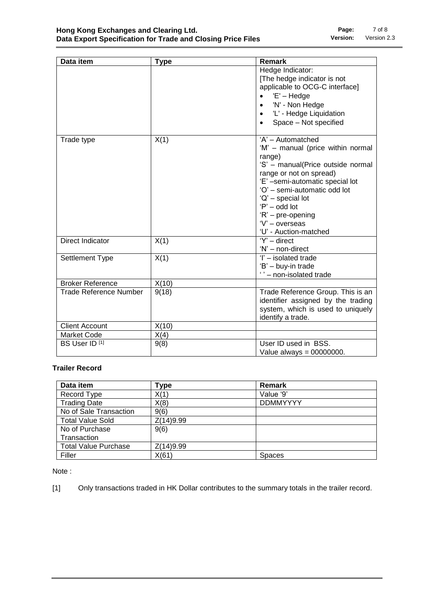| Data item                     | <b>Type</b> | Remark                                                                                                                                                                                                                                                                                                     |
|-------------------------------|-------------|------------------------------------------------------------------------------------------------------------------------------------------------------------------------------------------------------------------------------------------------------------------------------------------------------------|
|                               |             | Hedge Indicator:<br>[The hedge indicator is not<br>applicable to OCG-C interface]<br>$'E' - Hedge$                                                                                                                                                                                                         |
|                               |             | 'N' - Non Hedge<br>'L' - Hedge Liquidation                                                                                                                                                                                                                                                                 |
|                               |             | Space - Not specified                                                                                                                                                                                                                                                                                      |
| Trade type                    | X(1)        | 'A' - Automatched<br>'M' - manual (price within normal<br>range)<br>'S' - manual(Price outside normal<br>range or not on spread)<br>'E' -semi-automatic special lot<br>'O' - semi-automatic odd lot<br>'Q' - special lot<br>$P'$ – odd lot<br>'R' - pre-opening<br>'V' - overseas<br>'U' - Auction-matched |
| Direct Indicator              | X(1)        | $Y'$ – direct<br>'N' - non-direct                                                                                                                                                                                                                                                                          |
| Settlement Type               | X(1)        | 'l' - isolated trade<br>'B' - buy-in trade<br>'' - non-isolated trade                                                                                                                                                                                                                                      |
| <b>Broker Reference</b>       | X(10)       |                                                                                                                                                                                                                                                                                                            |
| <b>Trade Reference Number</b> | 9(18)       | Trade Reference Group. This is an<br>identifier assigned by the trading<br>system, which is used to uniquely<br>identify a trade.                                                                                                                                                                          |
| <b>Client Account</b>         | X(10)       |                                                                                                                                                                                                                                                                                                            |
| <b>Market Code</b>            | X(4)        |                                                                                                                                                                                                                                                                                                            |
| BS User ID <sup>[1]</sup>     | 9(8)        | User ID used in BSS.<br>Value always = $00000000$ .                                                                                                                                                                                                                                                        |

## **Trailer Record**

| Data item                   | Type      | Remark          |
|-----------------------------|-----------|-----------------|
| Record Type                 | X(1)      | Value '9'       |
| <b>Trading Date</b>         | X(8)      | <b>DDMMYYYY</b> |
| No of Sale Transaction      | 9(6)      |                 |
| <b>Total Value Sold</b>     | Z(14)9.99 |                 |
| No of Purchase              | 9(6)      |                 |
| Transaction                 |           |                 |
| <b>Total Value Purchase</b> | Z(14)9.99 |                 |
| Filler                      | X(61)     | <b>Spaces</b>   |

Note :

[1] Only transactions traded in HK Dollar contributes to the summary totals in the trailer record.